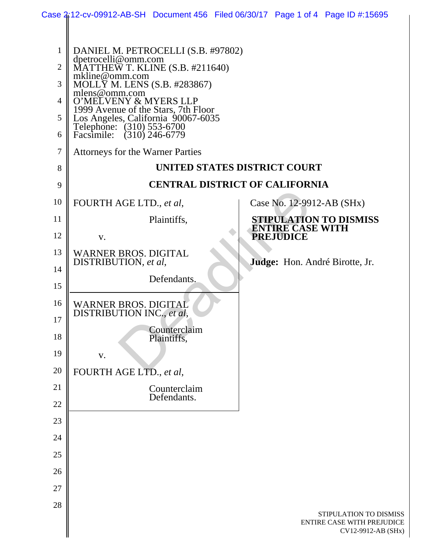|                                                              | Case 2:12-cv-09912-AB-SH Document 456 Filed 06/30/17 Page 1 of 4 Page ID #:15695                                                                                                                                                                                                                                                                            |                                       |                              |                           |                                                                            |
|--------------------------------------------------------------|-------------------------------------------------------------------------------------------------------------------------------------------------------------------------------------------------------------------------------------------------------------------------------------------------------------------------------------------------------------|---------------------------------------|------------------------------|---------------------------|----------------------------------------------------------------------------|
| $\mathbf{1}$<br>$\overline{2}$<br>3<br>4<br>5<br>6<br>7<br>8 | DANIEL M. PETROCELLI (S.B. #97802)<br>dpetrocelli@omm.com<br>MATTHEW T. KLINE (S.B. #211640)<br>mkline@omm.com<br>MOLLY M. LENS (S.B. #283867)<br>mlens@omm.com<br>O'MELVENY & MYERS LLP<br>1999 Avenue of the Stars, 7th Floor<br>Los Angeles, California 90067-6035<br>Telephone: (310) 553-6700<br>Facsimile:<br><b>Attorneys for the Warner Parties</b> | $(310)$ 246-6779                      | UNITED STATES DISTRICT COURT |                           |                                                                            |
| 9                                                            |                                                                                                                                                                                                                                                                                                                                                             | <b>CENTRAL DISTRICT OF CALIFORNIA</b> |                              |                           |                                                                            |
| 10                                                           | FOURTH AGE LTD., et al,                                                                                                                                                                                                                                                                                                                                     |                                       |                              | Case No. 12-9912-AB (SHx) |                                                                            |
| 11                                                           |                                                                                                                                                                                                                                                                                                                                                             | Plaintiffs,                           |                              | <b>ENTIRE CASE WITH</b>   | STIPULATION TO DISMISS                                                     |
| 12                                                           | V.                                                                                                                                                                                                                                                                                                                                                          |                                       |                              | <b>PREJUDICE</b>          |                                                                            |
| 13                                                           | <b>WARNER BROS. DIGITAL</b><br>DISTRIBUTION, et al,                                                                                                                                                                                                                                                                                                         |                                       |                              |                           | Judge: Hon. André Birotte, Jr.                                             |
| 14<br>15                                                     |                                                                                                                                                                                                                                                                                                                                                             | Defendants.                           |                              |                           |                                                                            |
| 16                                                           | <b>WARNER BROS. DIGITAL</b><br>DISTRIBUTION INC., et al.                                                                                                                                                                                                                                                                                                    |                                       |                              |                           |                                                                            |
| 17<br>18                                                     |                                                                                                                                                                                                                                                                                                                                                             | Counterclaim<br>Plaintiffs,           |                              |                           |                                                                            |
| 19                                                           | V.                                                                                                                                                                                                                                                                                                                                                          |                                       |                              |                           |                                                                            |
| 20                                                           | FOURTH AGE LTD., et al,                                                                                                                                                                                                                                                                                                                                     |                                       |                              |                           |                                                                            |
| 21                                                           |                                                                                                                                                                                                                                                                                                                                                             | Counterclaim<br>Defendants.           |                              |                           |                                                                            |
| 22                                                           |                                                                                                                                                                                                                                                                                                                                                             |                                       |                              |                           |                                                                            |
| 23                                                           |                                                                                                                                                                                                                                                                                                                                                             |                                       |                              |                           |                                                                            |
| 24                                                           |                                                                                                                                                                                                                                                                                                                                                             |                                       |                              |                           |                                                                            |
| 25                                                           |                                                                                                                                                                                                                                                                                                                                                             |                                       |                              |                           |                                                                            |
| 26                                                           |                                                                                                                                                                                                                                                                                                                                                             |                                       |                              |                           |                                                                            |
| 27                                                           |                                                                                                                                                                                                                                                                                                                                                             |                                       |                              |                           |                                                                            |
| 28                                                           |                                                                                                                                                                                                                                                                                                                                                             |                                       |                              |                           | STIPULATION TO DISMISS<br>ENTIRE CASE WITH PREJUDICE<br>CV12-9912-AB (SHx) |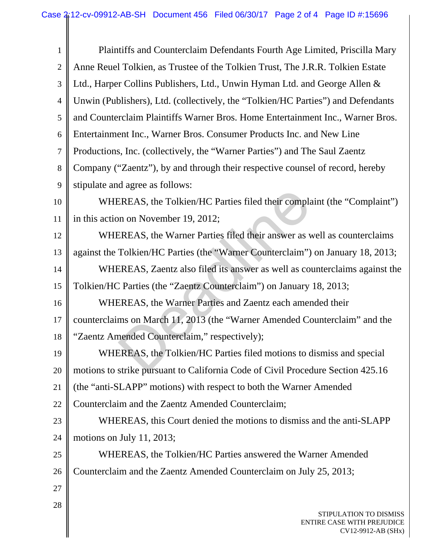| $\mathbf{1}$   | Plaintiffs and Counterclaim Defendants Fourth Age Limited, Priscilla Mary         |
|----------------|-----------------------------------------------------------------------------------|
| $\overline{2}$ | Anne Reuel Tolkien, as Trustee of the Tolkien Trust, The J.R.R. Tolkien Estate    |
| 3              | Ltd., Harper Collins Publishers, Ltd., Unwin Hyman Ltd. and George Allen &        |
| $\overline{4}$ | Unwin (Publishers), Ltd. (collectively, the "Tolkien/HC Parties") and Defendants  |
| 5              | and Counterclaim Plaintiffs Warner Bros. Home Entertainment Inc., Warner Bros.    |
| 6              | Entertainment Inc., Warner Bros. Consumer Products Inc. and New Line              |
| $\tau$         | Productions, Inc. (collectively, the "Warner Parties") and The Saul Zaentz        |
| $8\phantom{1}$ | Company ("Zaentz"), by and through their respective counsel of record, hereby     |
| 9              | stipulate and agree as follows:                                                   |
| 10             | WHEREAS, the Tolkien/HC Parties filed their complaint (the "Complaint")           |
| 11             | in this action on November 19, 2012;                                              |
| 12             | WHEREAS, the Warner Parties filed their answer as well as counterclaims           |
| 13             | against the Tolkien/HC Parties (the "Warner Counterclaim") on January 18, 2013;   |
| 14             | WHEREAS, Zaentz also filed its answer as well as counterclaims against the        |
| 15             | Tolkien/HC Parties (the "Zaentz Counterclaim") on January 18, 2013;               |
| 16             | WHEREAS, the Warner Parties and Zaentz each amended their                         |
| 17             | counterclaims on March 11, 2013 (the "Warner Amended Counterclaim" and the        |
| 18             | "Zaentz Amended Counterclaim," respectively);                                     |
| 19             | WHEREAS, the Tolkien/HC Parties filed motions to dismiss and special              |
| 20             | motions to strike pursuant to California Code of Civil Procedure Section 425.16   |
| 21             | (the "anti-SLAPP" motions) with respect to both the Warner Amended                |
| 22             | Counterclaim and the Zaentz Amended Counterclaim;                                 |
| 23             | WHEREAS, this Court denied the motions to dismiss and the anti-SLAPP              |
| 24             | motions on July 11, 2013;                                                         |
| 25             | WHEREAS, the Tolkien/HC Parties answered the Warner Amended                       |
| 26             | Counterclaim and the Zaentz Amended Counterclaim on July 25, 2013;                |
| 27             |                                                                                   |
| 28             | STIPULATION TO DISMISS<br><b>ENTIRE CASE WITH PREJUDICE</b><br>CV12-9912-AB (SHx) |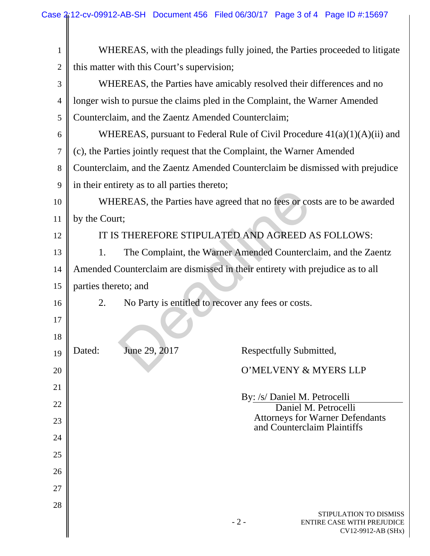| $\mathbf{1}$   | WHEREAS, with the pleadings fully joined, the Parties proceeded to litigate         |  |  |  |  |
|----------------|-------------------------------------------------------------------------------------|--|--|--|--|
| $\overline{2}$ | this matter with this Court's supervision;                                          |  |  |  |  |
| 3              | WHEREAS, the Parties have amicably resolved their differences and no                |  |  |  |  |
| $\overline{4}$ | longer wish to pursue the claims pled in the Complaint, the Warner Amended          |  |  |  |  |
| 5              | Counterclaim, and the Zaentz Amended Counterclaim;                                  |  |  |  |  |
| 6              | WHEREAS, pursuant to Federal Rule of Civil Procedure $41(a)(1)(A)(ii)$ and          |  |  |  |  |
| 7              | (c), the Parties jointly request that the Complaint, the Warner Amended             |  |  |  |  |
| 8              | Counterclaim, and the Zaentz Amended Counterclaim be dismissed with prejudice       |  |  |  |  |
| 9              | in their entirety as to all parties thereto;                                        |  |  |  |  |
| 10             | WHEREAS, the Parties have agreed that no fees or costs are to be awarded            |  |  |  |  |
| 11             | by the Court;                                                                       |  |  |  |  |
| 12             | IT IS THEREFORE STIPULATED AND AGREED AS FOLLOWS:                                   |  |  |  |  |
| 13             | 1.<br>The Complaint, the Warner Amended Counterclaim, and the Zaentz                |  |  |  |  |
| 14             | Amended Counterclaim are dismissed in their entirety with prejudice as to all       |  |  |  |  |
| 15             | parties thereto; and                                                                |  |  |  |  |
| 16             | No Party is entitled to recover any fees or costs.<br>2.                            |  |  |  |  |
| 17             |                                                                                     |  |  |  |  |
| 18             |                                                                                     |  |  |  |  |
| 19             | June 29, 2017<br>Respectfully Submitted,<br>Dated:                                  |  |  |  |  |
| 20             | O'MELVENY & MYERS LLP                                                               |  |  |  |  |
| 21             |                                                                                     |  |  |  |  |
| 22             | By: /s/ Daniel M. Petrocelli<br>Daniel M. Petrocelli                                |  |  |  |  |
| 23             | <b>Attorneys for Warner Defendants</b><br>and Counterclaim Plaintiffs               |  |  |  |  |
| 24             |                                                                                     |  |  |  |  |
| 25             |                                                                                     |  |  |  |  |
| 26             |                                                                                     |  |  |  |  |
| 27             |                                                                                     |  |  |  |  |
| 28             |                                                                                     |  |  |  |  |
|                | STIPULATION TO DISMISS<br>$-2-$<br>ENTIRE CASE WITH PREJUDICE<br>CV12-9912-AB (SHx) |  |  |  |  |